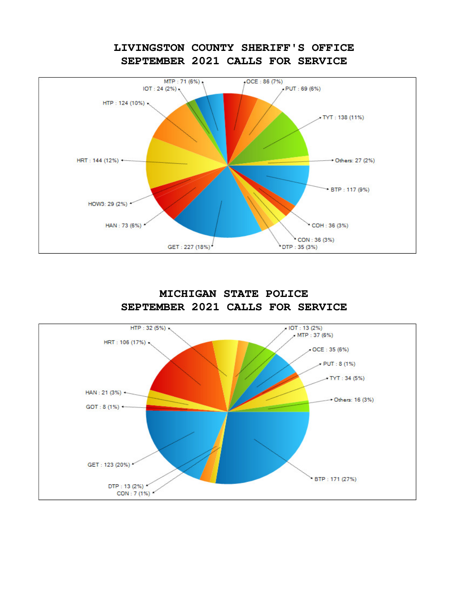## **LIVINGSTON COUNTY SHERIFF'S OFFICE SEPTEMBER 2021 CALLS FOR SERVICE**





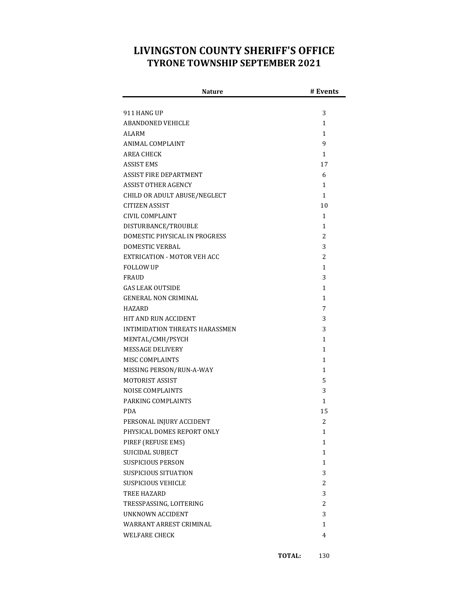## **LIVINGSTON COUNTY SHERIFF'S OFFICE TYRONE TOWNSHIP SEPTEMBER 2021**

| <b>Nature</b>                  | # Events     |
|--------------------------------|--------------|
|                                |              |
| 911 HANG UP                    | 3            |
| ABANDONED VEHICLE              | 1            |
| ALARM                          | 1            |
| ANIMAL COMPLAINT               | 9            |
| AREA CHECK                     | $\mathbf{1}$ |
| ASSIST EMS                     | 17           |
| ASSIST FIRE DEPARTMENT         | 6            |
| ASSIST OTHER AGENCY            | $\mathbf{1}$ |
| CHILD OR ADULT ABUSE/NEGLECT   | $\mathbf{1}$ |
| CITIZEN ASSIST                 | 10           |
| CIVIL COMPLAINT                | 1            |
| DISTURBANCE/TROUBLE            | $\mathbf{1}$ |
| DOMESTIC PHYSICAL IN PROGRESS  | 2            |
| <b>DOMESTIC VERBAL</b>         | 3            |
| EXTRICATION - MOTOR VEH ACC    | 2            |
| <b>FOLLOW UP</b>               | 1            |
| <b>FRAUD</b>                   | 3            |
| <b>GAS LEAK OUTSIDE</b>        | $\mathbf{1}$ |
| <b>GENERAL NON CRIMINAL</b>    | $\mathbf{1}$ |
| HAZARD                         | 7            |
| HIT AND RUN ACCIDENT           | 3            |
| INTIMIDATION THREATS HARASSMEN | 3            |
| MENTAL/CMH/PSYCH               | 1            |
| <b>MESSAGE DELIVERY</b>        | 1            |
| MISC COMPLAINTS                | 1            |
| MISSING PERSON/RUN-A-WAY       | 1            |
| <b>MOTORIST ASSIST</b>         | 5            |
| <b>NOISE COMPLAINTS</b>        | 3            |
| PARKING COMPLAINTS             | $\mathbf{1}$ |
| <b>PDA</b>                     | 15           |
| PERSONAL INJURY ACCIDENT       | 2            |
| PHYSICAL DOMES REPORT ONLY     | 1            |
| PIREF (REFUSE EMS)             | 1            |
| SUICIDAL SUBJECT               | $\mathbf{1}$ |
| <b>SUSPICIOUS PERSON</b>       | $\mathbf{1}$ |
| SUSPICIOUS SITUATION           | 3            |
| <b>SUSPICIOUS VEHICLE</b>      | 2            |
| TREE HAZARD                    | 3            |
| TRESSPASSING, LOITERING        | 2            |
| <b>UNKNOWN ACCIDENT</b>        | 3            |
| WARRANT ARREST CRIMINAL        | 1            |
| <b>WELFARE CHECK</b>           | 4            |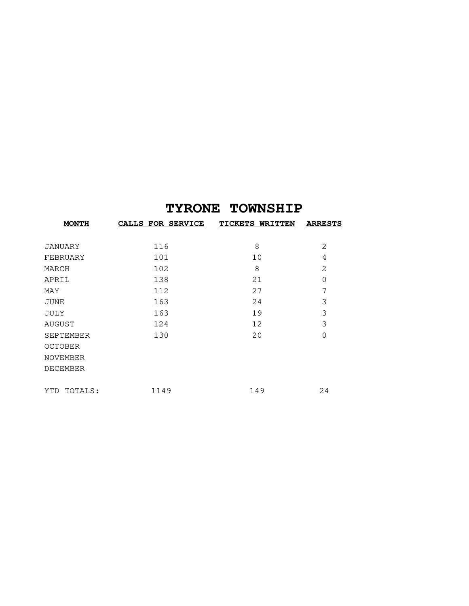## **TYRONE TOWNSHIP**

| <b>MONTH</b>     | CALLS FOR SERVICE | <b>TICKETS WRITTEN</b> | <b>ARRESTS</b> |
|------------------|-------------------|------------------------|----------------|
|                  |                   |                        |                |
| <b>JANUARY</b>   | 116               | 8                      | 2              |
| FEBRUARY         | 101               | 10                     | 4              |
| MARCH            | 102               | 8                      | 2              |
| APRIL            | 138               | 21                     | $\mathbf 0$    |
| MAY              | 112               | 27                     | 7              |
| JUNE             | 163               | 24                     | 3              |
| JULY             | 163               | 19                     | 3              |
| AUGUST           | 124               | 12                     | 3              |
| <b>SEPTEMBER</b> | 130               | 20                     | $\Omega$       |
| <b>OCTOBER</b>   |                   |                        |                |
| <b>NOVEMBER</b>  |                   |                        |                |
| <b>DECEMBER</b>  |                   |                        |                |
|                  |                   |                        |                |
| TOTALS:<br>YTD   | 1149              | 149                    | 24             |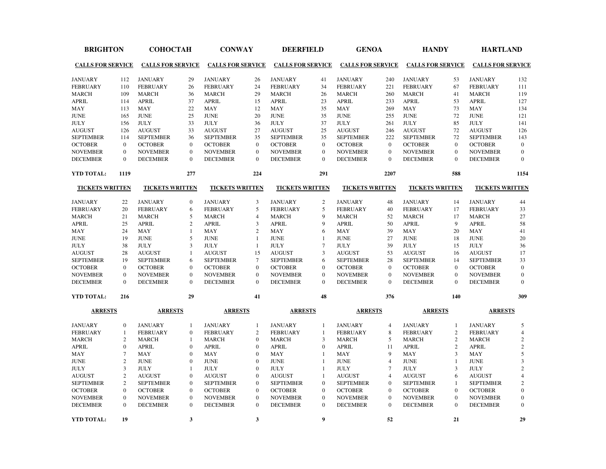| <b>BRIGHTON</b>                   |                  | <b>СОНОСТАН</b>                   |                | <b>CONWAY</b>                     |                  | <b>DEERFIELD</b>                  |                  | <b>GENOA</b>                      |                | <b>HANDY</b>                                          |                | <b>HARTLAND</b>                   |                  |
|-----------------------------------|------------------|-----------------------------------|----------------|-----------------------------------|------------------|-----------------------------------|------------------|-----------------------------------|----------------|-------------------------------------------------------|----------------|-----------------------------------|------------------|
| <b>CALLS FOR SERVICE</b>          |                  | <b>CALLS FOR SERVICE</b>          |                | <b>CALLS FOR SERVICE</b>          |                  |                                   |                  |                                   |                | CALLS FOR SERVICE CALLS FOR SERVICE CALLS FOR SERVICE |                | <b>CALLS FOR SERVICE</b>          |                  |
|                                   |                  |                                   |                |                                   |                  |                                   |                  |                                   |                |                                                       |                |                                   |                  |
| <b>JANUARY</b><br><b>FEBRUARY</b> | 112<br>110       | <b>JANUARY</b><br><b>FEBRUARY</b> | 29<br>26       | <b>JANUARY</b><br><b>FEBRUARY</b> | 26<br>24         | <b>JANUARY</b><br><b>FEBRUARY</b> | 41<br>34         | <b>JANUARY</b><br><b>FEBRUARY</b> | 240<br>221     | <b>JANUARY</b><br><b>FEBRUARY</b>                     | 53<br>67       | <b>JANUARY</b><br><b>FEBRUARY</b> | 132<br>111       |
| <b>MARCH</b>                      | 109              | <b>MARCH</b>                      | 36             | <b>MARCH</b>                      | 29               | <b>MARCH</b>                      | 26               |                                   | 260            | <b>MARCH</b>                                          | 41             | <b>MARCH</b>                      | 119              |
| <b>APRIL</b>                      | 114              | <b>APRIL</b>                      | 37             | <b>APRIL</b>                      | 15               | <b>APRIL</b>                      | 23               | <b>MARCH</b><br><b>APRIL</b>      | 233            | <b>APRIL</b>                                          | 53             | <b>APRIL</b>                      | 127              |
| MAY                               | 113              | <b>MAY</b>                        | 22             | <b>MAY</b>                        | 12               | MAY                               | 35               | <b>MAY</b>                        | 269            | MAY                                                   | 73             | MAY                               | 134              |
| <b>JUNE</b>                       | 165              | <b>JUNE</b>                       | 25             | <b>JUNE</b>                       | 20               | <b>JUNE</b>                       | 35               | <b>JUNE</b>                       | 255            | <b>JUNE</b>                                           | 72             | <b>JUNE</b>                       | 121              |
| <b>JULY</b>                       | 156              | <b>JULY</b>                       | 33             | <b>JULY</b>                       | 36               | <b>JULY</b>                       | 37               | <b>JULY</b>                       | 261            | <b>JULY</b>                                           | 85             | <b>JULY</b>                       | 141              |
| <b>AUGUST</b>                     | 126              | <b>AUGUST</b>                     | 33             | <b>AUGUST</b>                     | 27               | <b>AUGUST</b>                     | 25               | <b>AUGUST</b>                     | 246            | <b>AUGUST</b>                                         | 72             | <b>AUGUST</b>                     | 126              |
| <b>SEPTEMBER</b>                  | 114              | <b>SEPTEMBER</b>                  | 36             | <b>SEPTEMBER</b>                  | 35               | <b>SEPTEMBER</b>                  | 35               | <b>SEPTEMBER</b>                  | 222            | <b>SEPTEMBER</b>                                      | 72             | <b>SEPTEMBER</b>                  | 143              |
| <b>OCTOBER</b>                    | $\mathbf{0}$     | <b>OCTOBER</b>                    | $\mathbf{0}$   | <b>OCTOBER</b>                    | $\mathbf{0}$     | <b>OCTOBER</b>                    | $\mathbf{0}$     | <b>OCTOBER</b>                    | $\mathbf{0}$   | <b>OCTOBER</b>                                        | $\mathbf{0}$   | <b>OCTOBER</b>                    | $\boldsymbol{0}$ |
| <b>NOVEMBER</b>                   | $\mathbf{0}$     | <b>NOVEMBER</b>                   | $\mathbf{0}$   | <b>NOVEMBER</b>                   | $\mathbf{0}$     | <b>NOVEMBER</b>                   | $\mathbf{0}$     | <b>NOVEMBER</b>                   | $\mathbf{0}$   | <b>NOVEMBER</b>                                       | $\mathbf{0}$   | <b>NOVEMBER</b>                   | $\mathbf{0}$     |
|                                   | $\Omega$         |                                   | $\Omega$       |                                   | $\Omega$         |                                   | $\Omega$         |                                   | $\Omega$       |                                                       | $\Omega$       |                                   | $\Omega$         |
| <b>DECEMBER</b>                   |                  | <b>DECEMBER</b>                   |                | <b>DECEMBER</b>                   |                  | <b>DECEMBER</b>                   |                  | <b>DECEMBER</b>                   |                | <b>DECEMBER</b>                                       |                | <b>DECEMBER</b>                   |                  |
| YTD TOTAL:                        | 1119             |                                   | 277            |                                   | 224              |                                   | 291              |                                   | 2207           |                                                       | 588            |                                   | 1154             |
| <b>TICKETS WRITTEN</b>            |                  | <b>TICKETS WRITTEN</b>            |                | <b>TICKETS WRITTEN</b>            |                  | <b>TICKETS WRITTEN</b>            |                  | <b>TICKETS WRITTEN</b>            |                | <b>TICKETS WRITTEN</b>                                |                | <b>TICKETS WRITTEN</b>            |                  |
| <b>JANUARY</b>                    | 22               | <b>JANUARY</b>                    | $\mathbf{0}$   | <b>JANUARY</b>                    | 3                | <b>JANUARY</b>                    | 2                | <b>JANUARY</b>                    | 48             | <b>JANUARY</b>                                        | 14             | <b>JANUARY</b>                    | 44               |
| <b>FEBRUARY</b>                   | 20               | <b>FEBRUARY</b>                   | 6              | <b>FEBRUARY</b>                   | 5                | <b>FEBRUARY</b>                   | 5                | <b>FEBRUARY</b>                   | 40             | <b>FEBRUARY</b>                                       | 17             | <b>FEBRUARY</b>                   | 33               |
| <b>MARCH</b>                      | 21               | <b>MARCH</b>                      | 5              | <b>MARCH</b>                      | $\overline{4}$   | <b>MARCH</b>                      | $\overline{9}$   | <b>MARCH</b>                      | 52             | <b>MARCH</b>                                          | 17             | <b>MARCH</b>                      | 27               |
| <b>APRIL</b>                      | 25               | <b>APRIL</b>                      | $\sqrt{2}$     | <b>APRIL</b>                      | 3                | <b>APRIL</b>                      | 9                | <b>APRIL</b>                      | 50             | <b>APRIL</b>                                          | 9              | <b>APRIL</b>                      | 58               |
| MAY                               | 24               | MAY                               | 1              | MAY                               | 2                | MAY                               | 6                | MAY                               | 39             | MAY                                                   | 20             | MAY                               | 41               |
| <b>JUNE</b>                       | 19               | <b>JUNE</b>                       | 5              | <b>JUNE</b>                       | $\mathbf{1}$     | <b>JUNE</b>                       | $\mathbf{1}$     | <b>JUNE</b>                       | 27             | <b>JUNE</b>                                           | 18             | <b>JUNE</b>                       | 20               |
| <b>JULY</b>                       | 38               | <b>JULY</b>                       | 3              | <b>JULY</b>                       | $\mathbf{1}$     | <b>JULY</b>                       | $\boldsymbol{7}$ | <b>JULY</b>                       | 39             | <b>JULY</b>                                           | 15             | <b>JULY</b>                       | 36               |
| <b>AUGUST</b>                     | 28               | <b>AUGUST</b>                     | $\mathbf{1}$   | <b>AUGUST</b>                     | 15               | <b>AUGUST</b>                     | $\overline{3}$   | <b>AUGUST</b>                     | 53             | $\boldsymbol{\mathsf{AUGUST}}$                        | 16             | <b>AUGUST</b>                     | 17               |
| <b>SEPTEMBER</b>                  | 19               | <b>SEPTEMBER</b>                  | 6              | <b>SEPTEMBER</b>                  | $\tau$           | <b>SEPTEMBER</b>                  | 6                | <b>SEPTEMBER</b>                  | 28             | <b>SEPTEMBER</b>                                      | 14             | <b>SEPTEMBER</b>                  | 33               |
| <b>OCTOBER</b>                    | $\mathbf{0}$     | <b>OCTOBER</b>                    | $\mathbf{0}$   | <b>OCTOBER</b>                    | $\boldsymbol{0}$ | <b>OCTOBER</b>                    | $\mathbf{0}$     | <b>OCTOBER</b>                    | $\mathbf{0}$   | <b>OCTOBER</b>                                        | $\mathbf{0}$   | <b>OCTOBER</b>                    | $\mathbf{0}$     |
| <b>NOVEMBER</b>                   | $\mathbf{0}$     | <b>NOVEMBER</b>                   | $\mathbf{0}$   | <b>NOVEMBER</b>                   | $\mathbf{0}$     | <b>NOVEMBER</b>                   | $\mathbf{0}$     | <b>NOVEMBER</b>                   | $\mathbf{0}$   | <b>NOVEMBER</b>                                       | $\mathbf{0}$   | <b>NOVEMBER</b>                   | $\mathbf{0}$     |
| <b>DECEMBER</b>                   | $\Omega$         | <b>DECEMBER</b>                   | $\Omega$       | <b>DECEMBER</b>                   | $\Omega$         | <b>DECEMBER</b>                   | $\Omega$         | <b>DECEMBER</b>                   | $\theta$       | <b>DECEMBER</b>                                       | $\Omega$       | <b>DECEMBER</b>                   | $\Omega$         |
| <b>YTD TOTAL:</b>                 | 216              |                                   | 29             |                                   | 41               |                                   | 48               |                                   | 376            |                                                       | 140            |                                   | 309              |
| <b>ARRESTS</b>                    |                  | <b>ARRESTS</b>                    |                | <b>ARRESTS</b>                    |                  | <b>ARRESTS</b>                    |                  | <b>ARRESTS</b>                    |                | <b>ARRESTS</b>                                        |                | <b>ARRESTS</b>                    |                  |
| <b>JANUARY</b>                    | $\boldsymbol{0}$ | <b>JANUARY</b>                    | $\overline{1}$ | <b>JANUARY</b>                    | $\mathbf{1}$     | <b>JANUARY</b>                    | $\mathbf{1}$     | <b>JANUARY</b>                    | $\overline{4}$ | <b>JANUARY</b>                                        | $\overline{1}$ | <b>JANUARY</b>                    | 5                |
| <b>FEBRUARY</b>                   | 1                | <b>FEBRUARY</b>                   | $\mathbf{0}$   | <b>FEBRUARY</b>                   | $\overline{2}$   | <b>FEBRUARY</b>                   | $\mathbf{1}$     | <b>FEBRUARY</b>                   | 8              | <b>FEBRUARY</b>                                       | 2              | <b>FEBRUARY</b>                   | $\overline{4}$   |
| <b>MARCH</b>                      | $\overline{2}$   | <b>MARCH</b>                      | $\mathbf{1}$   | <b>MARCH</b>                      | $\mathbf{0}$     | <b>MARCH</b>                      | $\overline{3}$   | <b>MARCH</b>                      | 5              | <b>MARCH</b>                                          | 2              | <b>MARCH</b>                      | $\overline{2}$   |
| <b>APRIL</b>                      | $\mathbf{0}$     | <b>APRIL</b>                      | $\mathbf{0}$   | <b>APRIL</b>                      | $\mathbf{0}$     | <b>APRIL</b>                      | $\mathbf{0}$     | <b>APRIL</b>                      | 11             | <b>APRIL</b>                                          | 2              | <b>APRIL</b>                      | $\sqrt{2}$       |
| MAY                               | $\overline{7}$   | <b>MAY</b>                        | $\mathbf{0}$   | <b>MAY</b>                        | $\mathbf{0}$     | <b>MAY</b>                        | $\mathbf{1}$     | MAY                               | 9              | <b>MAY</b>                                            | $\overline{3}$ | <b>MAY</b>                        | 5                |
| <b>JUNE</b>                       | $\overline{2}$   | <b>JUNE</b>                       | $\overline{0}$ | <b>JUNE</b>                       | $\mathbf{0}$     | <b>JUNE</b>                       | $\mathbf{1}$     | <b>JUNE</b>                       | $\overline{4}$ | <b>JUNE</b>                                           | $\mathbf{1}$   | <b>JUNE</b>                       | $\overline{3}$   |
| <b>JULY</b>                       | $\overline{3}$   | <b>JULY</b>                       | $\mathbf{1}$   | <b>JULY</b>                       | $\mathbf{0}$     | <b>JULY</b>                       | $\mathbf{1}$     | <b>JULY</b>                       | $\overline{7}$ | <b>JULY</b>                                           | $\overline{3}$ | <b>JULY</b>                       | $\overline{2}$   |
| <b>AUGUST</b>                     | $\overline{c}$   | <b>AUGUST</b>                     | $\overline{0}$ | <b>AUGUST</b>                     | $\mathbf{0}$     | <b>AUGUST</b>                     | 1                | <b>AUGUST</b>                     | $\overline{4}$ | <b>AUGUST</b>                                         | 6              | <b>AUGUST</b>                     | $\overline{4}$   |
| <b>SEPTEMBER</b>                  | $\overline{c}$   | <b>SEPTEMBER</b>                  | $\mathbf{0}$   | <b>SEPTEMBER</b>                  | $\mathbf{0}$     | <b>SEPTEMBER</b>                  | $\mathbf{0}$     | <b>SEPTEMBER</b>                  | $\theta$       | <b>SEPTEMBER</b>                                      | $\mathbf{1}$   | <b>SEPTEMBER</b>                  | $\overline{2}$   |
| <b>OCTOBER</b>                    | $\overline{0}$   | <b>OCTOBER</b>                    | $\mathbf{0}$   | <b>OCTOBER</b>                    | $\mathbf{0}$     | <b>OCTOBER</b>                    | $\boldsymbol{0}$ | <b>OCTOBER</b>                    | $\mathbf{0}$   | <b>OCTOBER</b>                                        | $\mathbf{0}$   | <b>OCTOBER</b>                    | $\boldsymbol{0}$ |
| <b>NOVEMBER</b>                   | $\Omega$         | <b>NOVEMBER</b>                   | $\mathbf{0}$   | <b>NOVEMBER</b>                   | $\mathbf{0}$     | <b>NOVEMBER</b>                   | $\mathbf{0}$     | <b>NOVEMBER</b>                   | $\theta$       | <b>NOVEMBER</b>                                       | $\mathbf{0}$   | <b>NOVEMBER</b>                   | $\mathbf{0}$     |
| <b>DECEMBER</b>                   | $\mathbf{0}$     | <b>DECEMBER</b>                   | $\mathbf{0}$   | <b>DECEMBER</b>                   | $\mathbf{0}$     | <b>DECEMBER</b>                   | $\mathbf{0}$     | <b>DECEMBER</b>                   | $\mathbf{0}$   | <b>DECEMBER</b>                                       | $\mathbf{0}$   | <b>DECEMBER</b>                   | $\mathbf{0}$     |
| YTD TOTAL:                        | 19               |                                   | 3              |                                   | 3                |                                   | 9                |                                   | 52             |                                                       | 21             |                                   | 29               |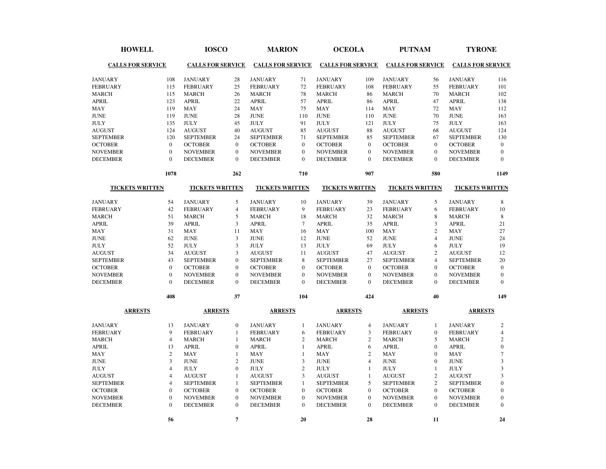| <b>HOWELL</b>            |                         | <b>IOSCO</b>             |                  | <b>MARION</b>            |                | <b>OCEOLA</b>            |                | <b>PUTNAM</b>            |                  | <b>TYRONE</b>            |                |
|--------------------------|-------------------------|--------------------------|------------------|--------------------------|----------------|--------------------------|----------------|--------------------------|------------------|--------------------------|----------------|
| <b>CALLS FOR SERVICE</b> |                         | <b>CALLS FOR SERVICE</b> |                  | <b>CALLS FOR SERVICE</b> |                | <b>CALLS FOR SERVICE</b> |                | <b>CALLS FOR SERVICE</b> |                  | <b>CALLS FOR SERVICE</b> |                |
| <b>JANUARY</b>           | 108                     | <b>JANUARY</b>           | 28               | <b>JANUARY</b>           | 71             | <b>JANUARY</b>           | 109            | <b>JANUARY</b>           | 56               | <b>JANUARY</b>           | 116            |
| <b>FEBRUARY</b>          | 115                     | <b>FEBRUARY</b>          | 25               | <b>FEBRUARY</b>          | 72             | <b>FEBRUARY</b>          | 108            | <b>FEBRUARY</b>          | 55               | <b>FEBRUARY</b>          | 101            |
| <b>MARCH</b>             | 115                     | <b>MARCH</b>             | 26               | <b>MARCH</b>             | 78             | <b>MARCH</b>             | 86             | <b>MARCH</b>             | 70               | <b>MARCH</b>             | 102            |
| <b>APRIL</b>             | 123                     | <b>APRIL</b>             | 22               | <b>APRIL</b>             | 57             | <b>APRIL</b>             | 86             | <b>APRIL</b>             | 47               | <b>APRIL</b>             | 138            |
| MAY                      | 119                     | <b>MAY</b>               | 24               | MAY                      | 75             | MAY                      | 114            | <b>MAY</b>               | 72               | <b>MAY</b>               | 112            |
| <b>JUNE</b>              | 119                     | <b>JUNE</b>              | 28               | <b>JUNE</b>              | 110            | <b>JUNE</b>              | 110            | <b>JUNE</b>              | 70               | <b>JUNE</b>              | 163            |
| <b>JULY</b>              | 135                     | <b>JULY</b>              | 45               | <b>JULY</b>              | 91             | <b>JULY</b>              | 121            | <b>JULY</b>              | 75               | <b>JULY</b>              | 163            |
| <b>AUGUST</b>            | 124                     | <b>AUGUST</b>            | 40               | <b>AUGUST</b>            | 85             | <b>AUGUST</b>            | 88             | <b>AUGUST</b>            | 68               | <b>AUGUST</b>            | 124            |
| <b>SEPTEMBER</b>         | 120                     | <b>SEPTEMBER</b>         | 24               | <b>SEPTEMBER</b>         | 71             | <b>SEPTEMBER</b>         | 85             | <b>SEPTEMBER</b>         | 67               | <b>SEPTEMBER</b>         | 130            |
| <b>OCTOBER</b>           | $\boldsymbol{0}$        | <b>OCTOBER</b>           | $\mathbf{0}$     | <b>OCTOBER</b>           | $\mathbf{0}$   | <b>OCTOBER</b>           | $\mathbf{0}$   | <b>OCTOBER</b>           | $\Omega$         | <b>OCTOBER</b>           | $\mathbf{0}$   |
| <b>NOVEMBER</b>          | $\mathbf{0}$            | <b>NOVEMBER</b>          | $\mathbf{0}$     | <b>NOVEMBER</b>          | $\mathbf{0}$   | <b>NOVEMBER</b>          | $\overline{0}$ | <b>NOVEMBER</b>          | $\mathbf{0}$     | <b>NOVEMBER</b>          | $\mathbf{0}$   |
| <b>DECEMBER</b>          | $\mathbf{0}$            | <b>DECEMBER</b>          | $\mathbf{0}$     | <b>DECEMBER</b>          | $\Omega$       | <b>DECEMBER</b>          | $\theta$       | <b>DECEMBER</b>          | $\Omega$         | <b>DECEMBER</b>          | $\Omega$       |
|                          | 1078                    |                          | 262              |                          | 710            |                          | 907            |                          | 580              |                          | 1149           |
| <b>TICKETS WRITTEN</b>   |                         | <b>TICKETS WRITTEN</b>   |                  | <b>TICKETS WRITTEN</b>   |                | <b>TICKETS WRITTEN</b>   |                | <b>TICKETS WRITTEN</b>   |                  | <b>TICKETS WRITTEN</b>   |                |
| <b>JANUARY</b>           | 54                      | <b>JANUARY</b>           | 5                | <b>JANUARY</b>           | 10             | <b>JANUARY</b>           | 39             | <b>JANUARY</b>           | 5                | <b>JANUARY</b>           | 8              |
| <b>FEBRUARY</b>          | 42                      | <b>FEBRUARY</b>          | $\overline{4}$   | <b>FEBRUARY</b>          | 9              | <b>FEBRUARY</b>          | 23             | <b>FEBRUARY</b>          | 6                | <b>FEBRUARY</b>          | 10             |
| <b>MARCH</b>             | 51                      | <b>MARCH</b>             | 5                | <b>MARCH</b>             | 18             | <b>MARCH</b>             | 32             | <b>MARCH</b>             | 8                | <b>MARCH</b>             | $\,8\,$        |
| <b>APRIL</b>             | 39                      | <b>APRIL</b>             | $\overline{3}$   | <b>APRIL</b>             | $\overline{7}$ | <b>APRIL</b>             | 35             | <b>APRIL</b>             | 3                | <b>APRIL</b>             | 21             |
| MAY                      | 31                      | <b>MAY</b>               | 11               | <b>MAY</b>               | 16             | <b>MAY</b>               | 100            | <b>MAY</b>               | $\overline{c}$   | <b>MAY</b>               | 27             |
| <b>JUNE</b>              | 62                      | <b>JUNE</b>              | 3                | <b>JUNE</b>              | 12             | <b>JUNE</b>              | 52             | <b>JUNE</b>              | $\overline{4}$   | <b>JUNE</b>              | 24             |
| <b>JULY</b>              | 52                      | <b>JULY</b>              | 3                | <b>JULY</b>              | 13             | <b>JULY</b>              | 69             | <b>JULY</b>              | 6                | <b>JULY</b>              | 19             |
| <b>AUGUST</b>            | 34                      | <b>AUGUST</b>            | 3                | <b>AUGUST</b>            | 11             | <b>AUGUST</b>            | 47             | <b>AUGUST</b>            | $\overline{c}$   | <b>AUGUST</b>            | 12             |
| <b>SEPTEMBER</b>         | 43                      | <b>SEPTEMBER</b>         | $\boldsymbol{0}$ | <b>SEPTEMBER</b>         | 8              | <b>SEPTEMBER</b>         | 27             | <b>SEPTEMBER</b>         | $\overline{4}$   | <b>SEPTEMBER</b>         | 20             |
| <b>OCTOBER</b>           | $\mathbf{0}$            | <b>OCTOBER</b>           | $\mathbf{0}$     | <b>OCTOBER</b>           | $\mathbf{0}$   | <b>OCTOBER</b>           | $\mathbf{0}$   | <b>OCTOBER</b>           | $\Omega$         | <b>OCTOBER</b>           | $\mathbf{0}$   |
| <b>NOVEMBER</b>          | $\mathbf{0}$            | <b>NOVEMBER</b>          | $\mathbf{0}$     | <b>NOVEMBER</b>          | $\mathbf{0}$   | <b>NOVEMBER</b>          | $\mathbf{0}$   | <b>NOVEMBER</b>          | $\mathbf{0}$     | <b>NOVEMBER</b>          | $\mathbf{0}$   |
| <b>DECEMBER</b>          | $\boldsymbol{0}$        | <b>DECEMBER</b>          | $\Omega$         | <b>DECEMBER</b>          | $\Omega$       | <b>DECEMBER</b>          | $\theta$       | <b>DECEMBER</b>          | $\Omega$         | <b>DECEMBER</b>          | $\Omega$       |
|                          | 408                     |                          | 37               |                          | 104            |                          | 424            |                          | 40               |                          | 149            |
| <b>ARRESTS</b>           |                         | <b>ARRESTS</b>           |                  | <b>ARRESTS</b>           |                | <b>ARRESTS</b>           |                | <b>ARRESTS</b>           |                  | <b>ARRESTS</b>           |                |
| <b>JANUARY</b>           | 13                      | <b>JANUARY</b>           | $\mathbf{0}$     | <b>JANUARY</b>           | $\mathbf{1}$   | <b>JANUARY</b>           | 4              | <b>JANUARY</b>           | 1                | <b>JANUARY</b>           | 2              |
| <b>FEBRUARY</b>          | $\overline{9}$          | <b>FEBRUARY</b>          | $\mathbf{1}$     | <b>FEBRUARY</b>          | 6              | <b>FEBRUARY</b>          | 3              | <b>FEBRUARY</b>          | $\boldsymbol{0}$ | <b>FEBRUARY</b>          | $\overline{4}$ |
| <b>MARCH</b>             | $\overline{4}$          | <b>MARCH</b>             | $\mathbf{1}$     | <b>MARCH</b>             | $\overline{c}$ | <b>MARCH</b>             | $\overline{c}$ | <b>MARCH</b>             | 5                | <b>MARCH</b>             | $\overline{2}$ |
| <b>APRIL</b>             | 13                      | <b>APRIL</b>             | $\mathbf{0}$     | <b>APRIL</b>             | $\mathbf{1}$   | <b>APRIL</b>             | 6              | <b>APRIL</b>             | $\Omega$         | <b>APRIL</b>             | $\mathbf{0}$   |
| MAY                      | $\sqrt{2}$              | <b>MAY</b>               | $\mathbf{1}$     | MAY                      | $\mathbf{1}$   | MAY                      | $\overline{2}$ | <b>MAY</b>               | $\Omega$         | <b>MAY</b>               | $\overline{7}$ |
| <b>JUNE</b>              | $\overline{\mathbf{3}}$ | <b>JUNE</b>              | $\overline{2}$   | <b>JUNE</b>              | $\overline{3}$ | <b>JUNE</b>              | $\overline{4}$ | <b>JUNE</b>              | $\mathbf{0}$     | <b>JUNE</b>              | $\overline{3}$ |
| <b>JULY</b>              | $\overline{4}$          | <b>JULY</b>              | $\mathbf{0}$     | <b>JULY</b>              | $\overline{c}$ | <b>JULY</b>              | $\mathbf{1}$   | <b>JULY</b>              | $\mathbf{1}$     | <b>JULY</b>              | 3              |
| <b>AUGUST</b>            | $\overline{4}$          | <b>AUGUST</b>            | $\mathbf{1}$     | <b>AUGUST</b>            | $\overline{3}$ | <b>AUGUST</b>            | $\mathbf{1}$   | <b>AUGUST</b>            | $\overline{c}$   | <b>AUGUST</b>            | $\overline{3}$ |
| <b>SEPTEMBER</b>         | $\overline{4}$          | <b>SEPTEMBER</b>         | $\mathbf{1}$     | <b>SEPTEMBER</b>         | $\mathbf{1}$   | <b>SEPTEMBER</b>         | 5              | <b>SEPTEMBER</b>         | $\overline{c}$   | <b>SEPTEMBER</b>         | $\overline{0}$ |
| <b>OCTOBER</b>           | $\mathbf{0}$            | <b>OCTOBER</b>           | $\mathbf{0}$     | <b>OCTOBER</b>           | $\mathbf{0}$   | <b>OCTOBER</b>           | $\mathbf{0}$   | <b>OCTOBER</b>           | $\mathbf{0}$     | <b>OCTOBER</b>           | $\mathbf{0}$   |
| <b>NOVEMBER</b>          | $\mathbf{0}$            | <b>NOVEMBER</b>          | $\mathbf{0}$     | <b>NOVEMBER</b>          | $\Omega$       | <b>NOVEMBER</b>          | $\mathbf{0}$   | <b>NOVEMBER</b>          | $\Omega$         | <b>NOVEMBER</b>          | $\mathbf{0}$   |
| <b>DECEMBER</b>          | $\mathbf{0}$            | <b>DECEMBER</b>          | $\mathbf{0}$     | <b>DECEMBER</b>          | $\mathbf{0}$   | <b>DECEMBER</b>          | $\mathbf{0}$   | <b>DECEMBER</b>          | $\overline{0}$   | <b>DECEMBER</b>          | $\mathbf{0}$   |
|                          | 56                      |                          | $\overline{7}$   |                          | 20             |                          | 28             |                          | 11               |                          | 24             |